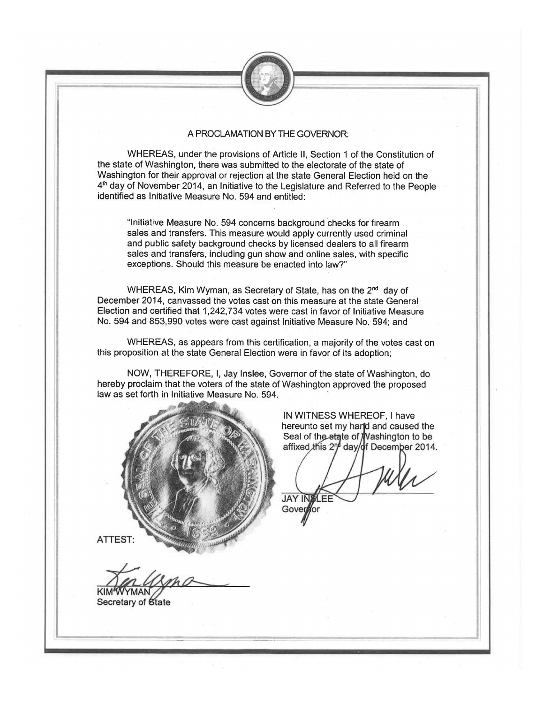

## A PROCLAMATION BY THE GOVERNOR:

WHEREAS, under the provisions of Article II, Section 1 of the Constitution of the state of Washington, there was submitted to the electorate of the state of Washington for their approval or rejection at the state General Election held on the 4<sup>th</sup> day of November 2014, an Initiative to the Legislature and Referred to the People identified as Initiative Measure No. 594 and entitled:

"Initiative Measure No. 594 concerns background checks for firearm sales and transfers. This measure would apply currently used criminal and public safety background checks by licensed dealers to all firearm sales and transfers, including gun show and online sales, with specific exceptions. Should this measure be enacted into law?"

WHEREAS, Kim Wyman, as Secretary of State, has on the 2<sup>nd</sup> day of December 2014, canvassed the votes cast on this measure at the state General Election and certified that 1,242,734 votes were cast in favor of Initiative Measure No. 594 and 853,990 votes were cast against Initiative Measure No. 594; and

WHEREAS, as appears from this certification, a majority of the votes cast on this proposition at the state General Election were in favor of its adoption;

NOW, THEREFORE, I, Jay Inslee, Governor of the state of Washington, do hereby proclaim that the voters of the state of Washington approved the proposed law as set forth in Initiative Measure No. 594.



IN WITNESS WHEREOF, I have hereunto set my harid and caused the Seal of the state of Washington to be<br>affixed this 2<sup>n</sup> day/of December 2014.

**JAY IN** Gover for

**ATTEST:** 

Secretary of State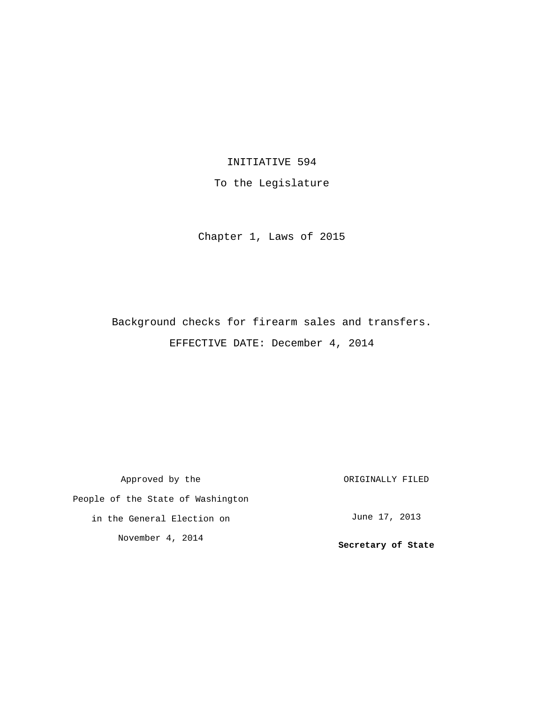## INITIATIVE 594

To the Legislature

Chapter 1, Laws of 2015

Background checks for firearm sales and transfers. EFFECTIVE DATE: December 4, 2014

Approved by the People of the State of Washington in the General Election on November 4, 2014 ORIGINALLY FILED June 17, 2013 **Secretary of State**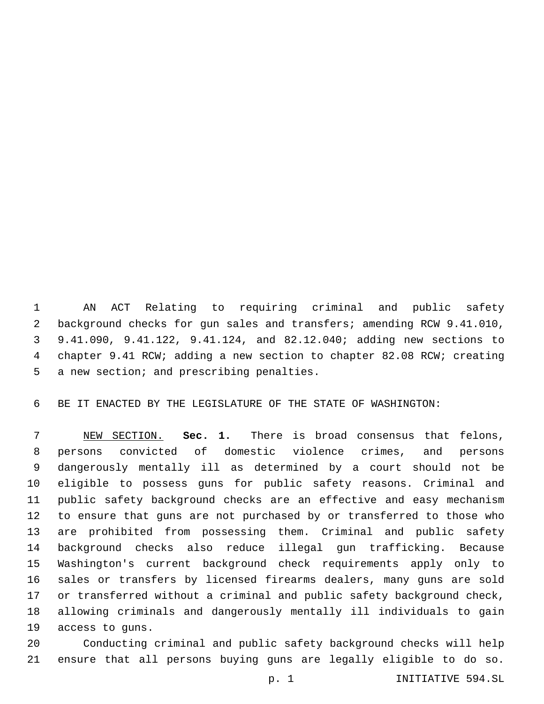AN ACT Relating to requiring criminal and public safety background checks for gun sales and transfers; amending RCW 9.41.010, 9.41.090, 9.41.122, 9.41.124, and 82.12.040; adding new sections to chapter 9.41 RCW; adding a new section to chapter 82.08 RCW; creating 5 a new section; and prescribing penalties.

BE IT ENACTED BY THE LEGISLATURE OF THE STATE OF WASHINGTON:

 NEW SECTION. **Sec. 1.** There is broad consensus that felons, persons convicted of domestic violence crimes, and persons dangerously mentally ill as determined by a court should not be eligible to possess guns for public safety reasons. Criminal and public safety background checks are an effective and easy mechanism to ensure that guns are not purchased by or transferred to those who are prohibited from possessing them. Criminal and public safety background checks also reduce illegal gun trafficking. Because Washington's current background check requirements apply only to sales or transfers by licensed firearms dealers, many guns are sold or transferred without a criminal and public safety background check, allowing criminals and dangerously mentally ill individuals to gain access to guns.

 Conducting criminal and public safety background checks will help ensure that all persons buying guns are legally eligible to do so.

p. 1 INITIATIVE 594.SL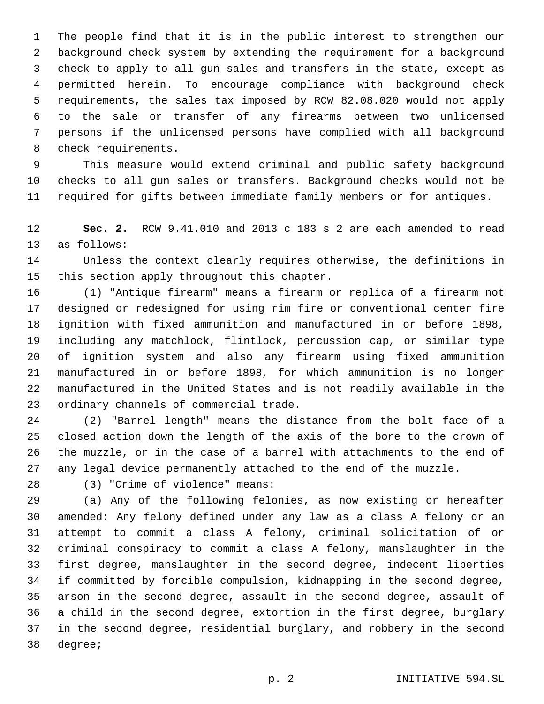The people find that it is in the public interest to strengthen our background check system by extending the requirement for a background check to apply to all gun sales and transfers in the state, except as permitted herein. To encourage compliance with background check requirements, the sales tax imposed by RCW 82.08.020 would not apply to the sale or transfer of any firearms between two unlicensed persons if the unlicensed persons have complied with all background 8 check requirements.

 This measure would extend criminal and public safety background checks to all gun sales or transfers. Background checks would not be required for gifts between immediate family members or for antiques.

 **Sec. 2.** RCW 9.41.010 and 2013 c 183 s 2 are each amended to read 13 as follows:

 Unless the context clearly requires otherwise, the definitions in 15 this section apply throughout this chapter.

 (1) "Antique firearm" means a firearm or replica of a firearm not designed or redesigned for using rim fire or conventional center fire ignition with fixed ammunition and manufactured in or before 1898, including any matchlock, flintlock, percussion cap, or similar type of ignition system and also any firearm using fixed ammunition manufactured in or before 1898, for which ammunition is no longer manufactured in the United States and is not readily available in the 23 ordinary channels of commercial trade.

 (2) "Barrel length" means the distance from the bolt face of a closed action down the length of the axis of the bore to the crown of the muzzle, or in the case of a barrel with attachments to the end of any legal device permanently attached to the end of the muzzle.

(3) "Crime of violence" means:28

 (a) Any of the following felonies, as now existing or hereafter amended: Any felony defined under any law as a class A felony or an attempt to commit a class A felony, criminal solicitation of or criminal conspiracy to commit a class A felony, manslaughter in the first degree, manslaughter in the second degree, indecent liberties if committed by forcible compulsion, kidnapping in the second degree, arson in the second degree, assault in the second degree, assault of a child in the second degree, extortion in the first degree, burglary in the second degree, residential burglary, and robbery in the second 38 degree;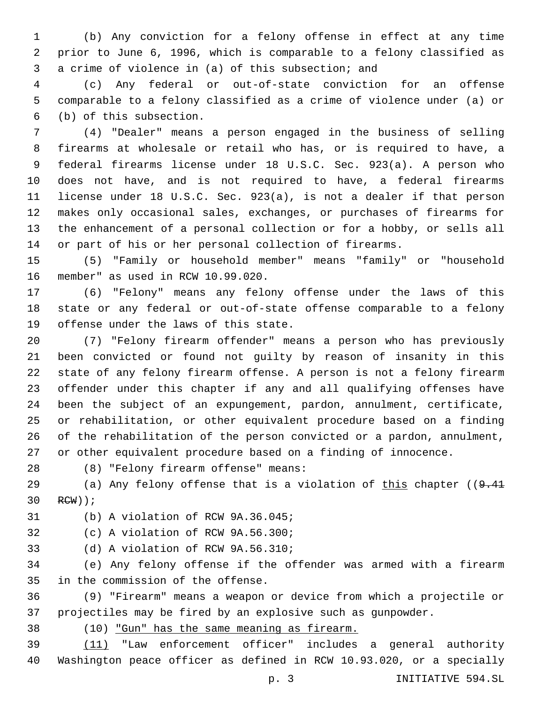(b) Any conviction for a felony offense in effect at any time prior to June 6, 1996, which is comparable to a felony classified as 3 a crime of violence in (a) of this subsection; and

 (c) Any federal or out-of-state conviction for an offense comparable to a felony classified as a crime of violence under (a) or (b) of this subsection.6

 (4) "Dealer" means a person engaged in the business of selling firearms at wholesale or retail who has, or is required to have, a federal firearms license under 18 U.S.C. Sec. 923(a). A person who does not have, and is not required to have, a federal firearms license under 18 U.S.C. Sec. 923(a), is not a dealer if that person makes only occasional sales, exchanges, or purchases of firearms for the enhancement of a personal collection or for a hobby, or sells all or part of his or her personal collection of firearms.

 (5) "Family or household member" means "family" or "household member" as used in RCW 10.99.020.16

 (6) "Felony" means any felony offense under the laws of this state or any federal or out-of-state offense comparable to a felony 19 offense under the laws of this state.

 (7) "Felony firearm offender" means a person who has previously been convicted or found not guilty by reason of insanity in this state of any felony firearm offense. A person is not a felony firearm offender under this chapter if any and all qualifying offenses have been the subject of an expungement, pardon, annulment, certificate, or rehabilitation, or other equivalent procedure based on a finding of the rehabilitation of the person convicted or a pardon, annulment, or other equivalent procedure based on a finding of innocence.

(8) "Felony firearm offense" means:28

29 (a) Any felony offense that is a violation of this chapter  $(9.41)$ 30 RCW));

31 (b) A violation of RCW 9A.36.045;

32 (c) A violation of RCW 9A.56.300;

33 (d) A violation of RCW 9A.56.310;

 (e) Any felony offense if the offender was armed with a firearm 35 in the commission of the offense.

 (9) "Firearm" means a weapon or device from which a projectile or projectiles may be fired by an explosive such as gunpowder.

(10) "Gun" has the same meaning as firearm.

 (11) "Law enforcement officer" includes a general authority Washington peace officer as defined in RCW 10.93.020, or a specially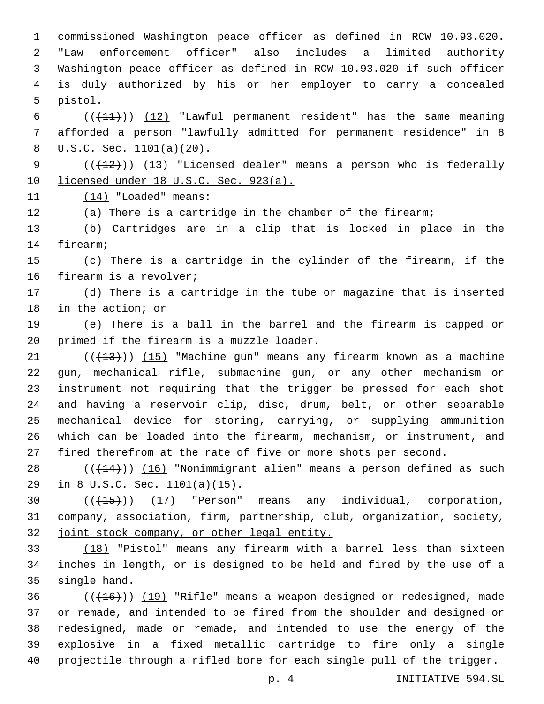commissioned Washington peace officer as defined in RCW 10.93.020. "Law enforcement officer" also includes a limited authority Washington peace officer as defined in RCW 10.93.020 if such officer is duly authorized by his or her employer to carry a concealed 5 pistol.

6  $((+11))$   $(12)$  "Lawful permanent resident" has the same meaning afforded a person "lawfully admitted for permanent residence" in 8 U.S.C. Sec. 1101(a)(20).8

9 (( $(12)$ )) (13) "Licensed dealer" means a person who is federally 10 licensed under 18 U.S.C. Sec. 923(a).

11 (14) "Loaded" means:

(a) There is a cartridge in the chamber of the firearm;

 (b) Cartridges are in a clip that is locked in place in the 14 firearm;

 (c) There is a cartridge in the cylinder of the firearm, if the 16 firearm is a revolver;

 (d) There is a cartridge in the tube or magazine that is inserted 18 in the action; or

 (e) There is a ball in the barrel and the firearm is capped or 20 primed if the firearm is a muzzle loader.

21 ((+13))) (15) "Machine gun" means any firearm known as a machine gun, mechanical rifle, submachine gun, or any other mechanism or instrument not requiring that the trigger be pressed for each shot and having a reservoir clip, disc, drum, belt, or other separable mechanical device for storing, carrying, or supplying ammunition which can be loaded into the firearm, mechanism, or instrument, and fired therefrom at the rate of five or more shots per second.

 $((+14))$   $(16)$  "Nonimmigrant alien" means a person defined as such 29 in 8 U.S.C. Sec. 1101(a)(15).

30 (( $\left(\frac{15}{15}\right)$ ) (17) "Person" means any individual, corporation, company, association, firm, partnership, club, organization, society, joint stock company, or other legal entity.

 (18) "Pistol" means any firearm with a barrel less than sixteen inches in length, or is designed to be held and fired by the use of a 35 single hand.

36 (( $(16)$ )) (19) "Rifle" means a weapon designed or redesigned, made or remade, and intended to be fired from the shoulder and designed or redesigned, made or remade, and intended to use the energy of the explosive in a fixed metallic cartridge to fire only a single projectile through a rifled bore for each single pull of the trigger.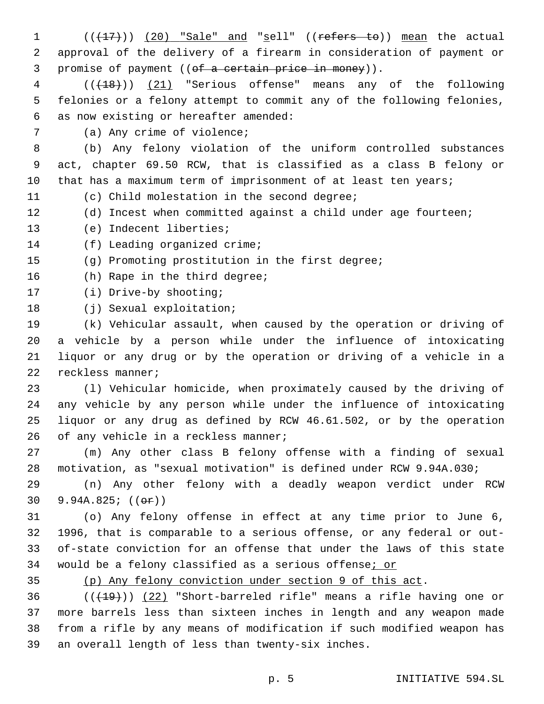1  $((+17))$   $(20)$  "Sale" and "sell" ((refers to)) mean the actual 2 approval of the delivery of a firearm in consideration of payment or 3 promise of payment ((of a certain price in money)). 4 (((18))) (21) "Serious offense" means any of the following 5 felonies or a felony attempt to commit any of the following felonies, as now existing or hereafter amended:6 7 (a) Any crime of violence; 8 (b) Any felony violation of the uniform controlled substances 9 act, chapter 69.50 RCW, that is classified as a class B felony or 10 that has a maximum term of imprisonment of at least ten years; 11 (c) Child molestation in the second degree; 12 (d) Incest when committed against a child under age fourteen; 13 (e) Indecent liberties; 14 (f) Leading organized crime; 15 (g) Promoting prostitution in the first degree; 16 (h) Rape in the third degree; 17 (i) Drive-by shooting; 18 (j) Sexual exploitation; 19 (k) Vehicular assault, when caused by the operation or driving of 20 a vehicle by a person while under the influence of intoxicating 21 liquor or any drug or by the operation or driving of a vehicle in a 22 reckless manner; 23 (l) Vehicular homicide, when proximately caused by the driving of 24 any vehicle by any person while under the influence of intoxicating 25 liquor or any drug as defined by RCW 46.61.502, or by the operation 26 of any vehicle in a reckless manner; 27 (m) Any other class B felony offense with a finding of sexual 28 motivation, as "sexual motivation" is defined under RCW 9.94A.030;

29 (n) Any other felony with a deadly weapon verdict under RCW 30 9.94A.825;  $((e^{\pi}))$ 

 (o) Any felony offense in effect at any time prior to June 6, 1996, that is comparable to a serious offense, or any federal or out- of-state conviction for an offense that under the laws of this state 34 would be a felony classified as a serious offense; or

35 (p) Any felony conviction under section 9 of this act.

 (( $(19)$ )) (22) "Short-barreled rifle" means a rifle having one or more barrels less than sixteen inches in length and any weapon made from a rifle by any means of modification if such modified weapon has 39 an overall length of less than twenty-six inches.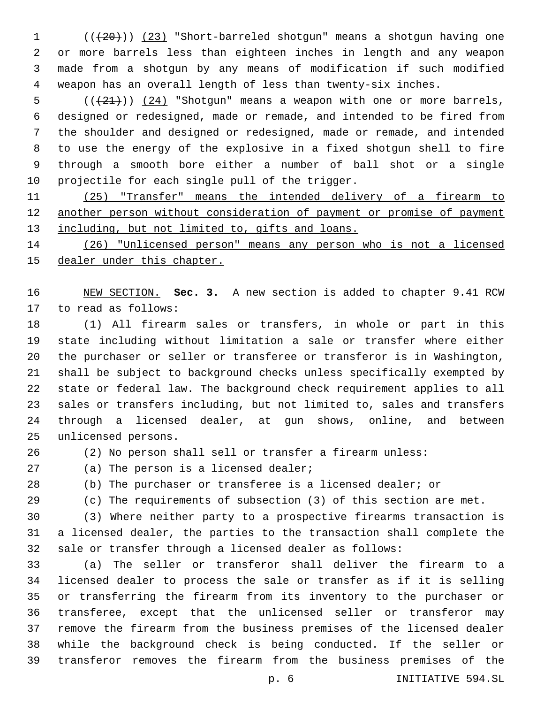1 (( $(20)$ )) (23) "Short-barreled shotgun" means a shotgun having one or more barrels less than eighteen inches in length and any weapon made from a shotgun by any means of modification if such modified weapon has an overall length of less than twenty-six inches.

 ( $(\frac{21}{2})$ )  $(24)$  "Shotgun" means a weapon with one or more barrels, designed or redesigned, made or remade, and intended to be fired from the shoulder and designed or redesigned, made or remade, and intended to use the energy of the explosive in a fixed shotgun shell to fire through a smooth bore either a number of ball shot or a single 10 projectile for each single pull of the trigger.

 (25) "Transfer" means the intended delivery of a firearm to another person without consideration of payment or promise of payment 13 including, but not limited to, gifts and loans.

 (26) "Unlicensed person" means any person who is not a licensed dealer under this chapter.

 NEW SECTION. **Sec. 3.** A new section is added to chapter 9.41 RCW 17 to read as follows:

 (1) All firearm sales or transfers, in whole or part in this state including without limitation a sale or transfer where either the purchaser or seller or transferee or transferor is in Washington, shall be subject to background checks unless specifically exempted by state or federal law. The background check requirement applies to all sales or transfers including, but not limited to, sales and transfers through a licensed dealer, at gun shows, online, and between 25 unlicensed persons.

(2) No person shall sell or transfer a firearm unless:

27 (a) The person is a licensed dealer;

(b) The purchaser or transferee is a licensed dealer; or

(c) The requirements of subsection (3) of this section are met.

 (3) Where neither party to a prospective firearms transaction is a licensed dealer, the parties to the transaction shall complete the sale or transfer through a licensed dealer as follows:

 (a) The seller or transferor shall deliver the firearm to a licensed dealer to process the sale or transfer as if it is selling or transferring the firearm from its inventory to the purchaser or transferee, except that the unlicensed seller or transferor may remove the firearm from the business premises of the licensed dealer while the background check is being conducted. If the seller or transferor removes the firearm from the business premises of the

p. 6 INITIATIVE 594.SL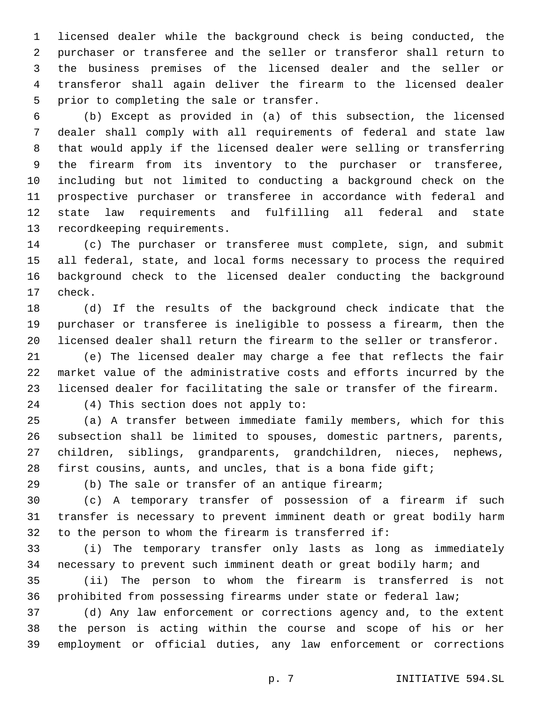licensed dealer while the background check is being conducted, the purchaser or transferee and the seller or transferor shall return to the business premises of the licensed dealer and the seller or transferor shall again deliver the firearm to the licensed dealer 5 prior to completing the sale or transfer.

 (b) Except as provided in (a) of this subsection, the licensed dealer shall comply with all requirements of federal and state law that would apply if the licensed dealer were selling or transferring the firearm from its inventory to the purchaser or transferee, including but not limited to conducting a background check on the prospective purchaser or transferee in accordance with federal and state law requirements and fulfilling all federal and state 13 recordkeeping requirements.

 (c) The purchaser or transferee must complete, sign, and submit all federal, state, and local forms necessary to process the required background check to the licensed dealer conducting the background 17 check.

 (d) If the results of the background check indicate that the purchaser or transferee is ineligible to possess a firearm, then the licensed dealer shall return the firearm to the seller or transferor.

 (e) The licensed dealer may charge a fee that reflects the fair market value of the administrative costs and efforts incurred by the licensed dealer for facilitating the sale or transfer of the firearm.

24 (4) This section does not apply to:

 (a) A transfer between immediate family members, which for this subsection shall be limited to spouses, domestic partners, parents, children, siblings, grandparents, grandchildren, nieces, nephews, first cousins, aunts, and uncles, that is a bona fide gift;

(b) The sale or transfer of an antique firearm;

 (c) A temporary transfer of possession of a firearm if such transfer is necessary to prevent imminent death or great bodily harm to the person to whom the firearm is transferred if:

 (i) The temporary transfer only lasts as long as immediately necessary to prevent such imminent death or great bodily harm; and

 (ii) The person to whom the firearm is transferred is not prohibited from possessing firearms under state or federal law;

 (d) Any law enforcement or corrections agency and, to the extent the person is acting within the course and scope of his or her employment or official duties, any law enforcement or corrections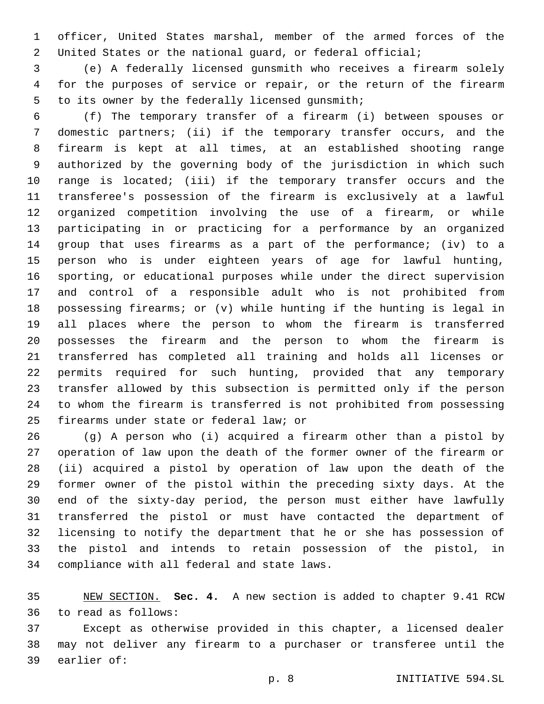officer, United States marshal, member of the armed forces of the United States or the national guard, or federal official;

 (e) A federally licensed gunsmith who receives a firearm solely for the purposes of service or repair, or the return of the firearm 5 to its owner by the federally licensed gunsmith;

 (f) The temporary transfer of a firearm (i) between spouses or domestic partners; (ii) if the temporary transfer occurs, and the firearm is kept at all times, at an established shooting range authorized by the governing body of the jurisdiction in which such range is located; (iii) if the temporary transfer occurs and the transferee's possession of the firearm is exclusively at a lawful organized competition involving the use of a firearm, or while participating in or practicing for a performance by an organized group that uses firearms as a part of the performance; (iv) to a person who is under eighteen years of age for lawful hunting, sporting, or educational purposes while under the direct supervision and control of a responsible adult who is not prohibited from possessing firearms; or (v) while hunting if the hunting is legal in all places where the person to whom the firearm is transferred possesses the firearm and the person to whom the firearm is transferred has completed all training and holds all licenses or permits required for such hunting, provided that any temporary transfer allowed by this subsection is permitted only if the person to whom the firearm is transferred is not prohibited from possessing 25 firearms under state or federal law; or

 (g) A person who (i) acquired a firearm other than a pistol by operation of law upon the death of the former owner of the firearm or (ii) acquired a pistol by operation of law upon the death of the former owner of the pistol within the preceding sixty days. At the end of the sixty-day period, the person must either have lawfully transferred the pistol or must have contacted the department of licensing to notify the department that he or she has possession of the pistol and intends to retain possession of the pistol, in 34 compliance with all federal and state laws.

 NEW SECTION. **Sec. 4.** A new section is added to chapter 9.41 RCW 36 to read as follows:

 Except as otherwise provided in this chapter, a licensed dealer may not deliver any firearm to a purchaser or transferee until the 39 earlier of: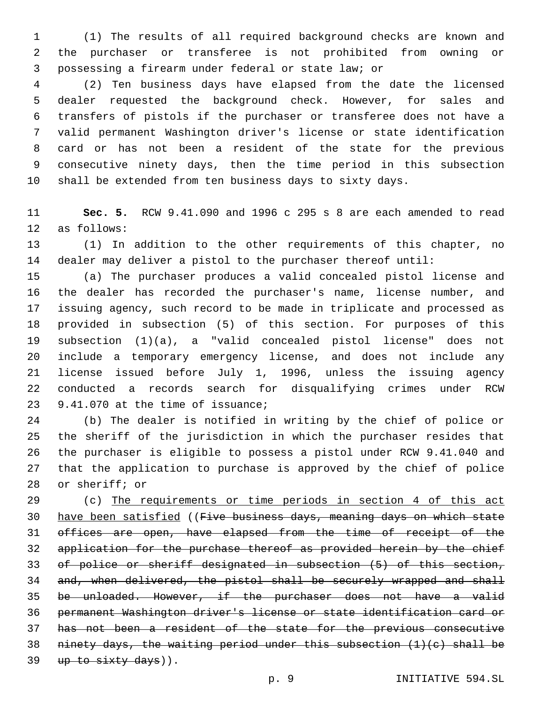(1) The results of all required background checks are known and the purchaser or transferee is not prohibited from owning or possessing a firearm under federal or state law; or

 (2) Ten business days have elapsed from the date the licensed dealer requested the background check. However, for sales and transfers of pistols if the purchaser or transferee does not have a valid permanent Washington driver's license or state identification card or has not been a resident of the state for the previous consecutive ninety days, then the time period in this subsection shall be extended from ten business days to sixty days.

 **Sec. 5.** RCW 9.41.090 and 1996 c 295 s 8 are each amended to read 12 as follows:

 (1) In addition to the other requirements of this chapter, no dealer may deliver a pistol to the purchaser thereof until:

 (a) The purchaser produces a valid concealed pistol license and the dealer has recorded the purchaser's name, license number, and issuing agency, such record to be made in triplicate and processed as provided in subsection (5) of this section. For purposes of this subsection (1)(a), a "valid concealed pistol license" does not include a temporary emergency license, and does not include any license issued before July 1, 1996, unless the issuing agency conducted a records search for disqualifying crimes under RCW 23 9.41.070 at the time of issuance;

 (b) The dealer is notified in writing by the chief of police or the sheriff of the jurisdiction in which the purchaser resides that the purchaser is eligible to possess a pistol under RCW 9.41.040 and that the application to purchase is approved by the chief of police 28 or sheriff; or

 (c) The requirements or time periods in section 4 of this act have been satisfied ((Five business days, meaning days on which state offices are open, have elapsed from the time of receipt of the application for the purchase thereof as provided herein by the chief of police or sheriff designated in subsection (5) of this section, and, when delivered, the pistol shall be securely wrapped and shall be unloaded. However, if the purchaser does not have a valid permanent Washington driver's license or state identification card or has not been a resident of the state for the previous consecutive 38 ninety days, the waiting period under this subsection  $(1)(e)$  shall be up to sixty days)).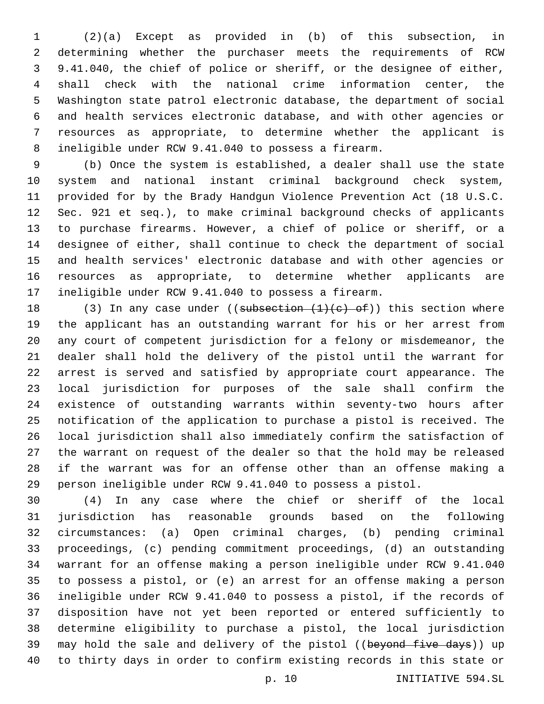(2)(a) Except as provided in (b) of this subsection, in determining whether the purchaser meets the requirements of RCW 9.41.040, the chief of police or sheriff, or the designee of either, shall check with the national crime information center, the Washington state patrol electronic database, the department of social and health services electronic database, and with other agencies or resources as appropriate, to determine whether the applicant is ineligible under RCW 9.41.040 to possess a firearm.

 (b) Once the system is established, a dealer shall use the state system and national instant criminal background check system, provided for by the Brady Handgun Violence Prevention Act (18 U.S.C. Sec. 921 et seq.), to make criminal background checks of applicants to purchase firearms. However, a chief of police or sheriff, or a designee of either, shall continue to check the department of social and health services' electronic database and with other agencies or resources as appropriate, to determine whether applicants are ineligible under RCW 9.41.040 to possess a firearm.

18 (3) In any case under ((subsection  $(1)(e)$  of)) this section where the applicant has an outstanding warrant for his or her arrest from any court of competent jurisdiction for a felony or misdemeanor, the dealer shall hold the delivery of the pistol until the warrant for arrest is served and satisfied by appropriate court appearance. The local jurisdiction for purposes of the sale shall confirm the existence of outstanding warrants within seventy-two hours after notification of the application to purchase a pistol is received. The local jurisdiction shall also immediately confirm the satisfaction of the warrant on request of the dealer so that the hold may be released if the warrant was for an offense other than an offense making a person ineligible under RCW 9.41.040 to possess a pistol.

 (4) In any case where the chief or sheriff of the local jurisdiction has reasonable grounds based on the following circumstances: (a) Open criminal charges, (b) pending criminal proceedings, (c) pending commitment proceedings, (d) an outstanding warrant for an offense making a person ineligible under RCW 9.41.040 to possess a pistol, or (e) an arrest for an offense making a person ineligible under RCW 9.41.040 to possess a pistol, if the records of disposition have not yet been reported or entered sufficiently to determine eligibility to purchase a pistol, the local jurisdiction 39 may hold the sale and delivery of the pistol ((beyond five days)) up to thirty days in order to confirm existing records in this state or

p. 10 INITIATIVE 594.SL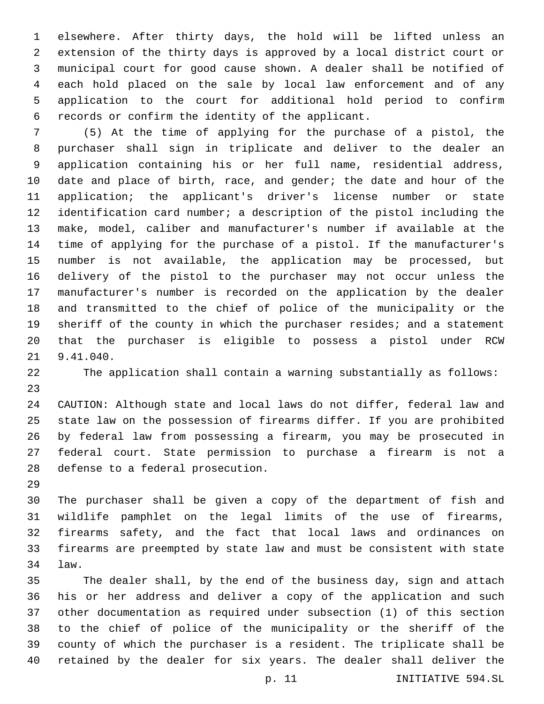elsewhere. After thirty days, the hold will be lifted unless an extension of the thirty days is approved by a local district court or municipal court for good cause shown. A dealer shall be notified of each hold placed on the sale by local law enforcement and of any application to the court for additional hold period to confirm 6 records or confirm the identity of the applicant.

 (5) At the time of applying for the purchase of a pistol, the purchaser shall sign in triplicate and deliver to the dealer an application containing his or her full name, residential address, date and place of birth, race, and gender; the date and hour of the application; the applicant's driver's license number or state identification card number; a description of the pistol including the make, model, caliber and manufacturer's number if available at the time of applying for the purchase of a pistol. If the manufacturer's number is not available, the application may be processed, but delivery of the pistol to the purchaser may not occur unless the manufacturer's number is recorded on the application by the dealer and transmitted to the chief of police of the municipality or the sheriff of the county in which the purchaser resides; and a statement that the purchaser is eligible to possess a pistol under RCW 21 9.41.040.

The application shall contain a warning substantially as follows:

 CAUTION: Although state and local laws do not differ, federal law and state law on the possession of firearms differ. If you are prohibited by federal law from possessing a firearm, you may be prosecuted in federal court. State permission to purchase a firearm is not a 28 defense to a federal prosecution.

 The purchaser shall be given a copy of the department of fish and wildlife pamphlet on the legal limits of the use of firearms, firearms safety, and the fact that local laws and ordinances on firearms are preempted by state law and must be consistent with state law.34

 The dealer shall, by the end of the business day, sign and attach his or her address and deliver a copy of the application and such other documentation as required under subsection (1) of this section to the chief of police of the municipality or the sheriff of the county of which the purchaser is a resident. The triplicate shall be retained by the dealer for six years. The dealer shall deliver the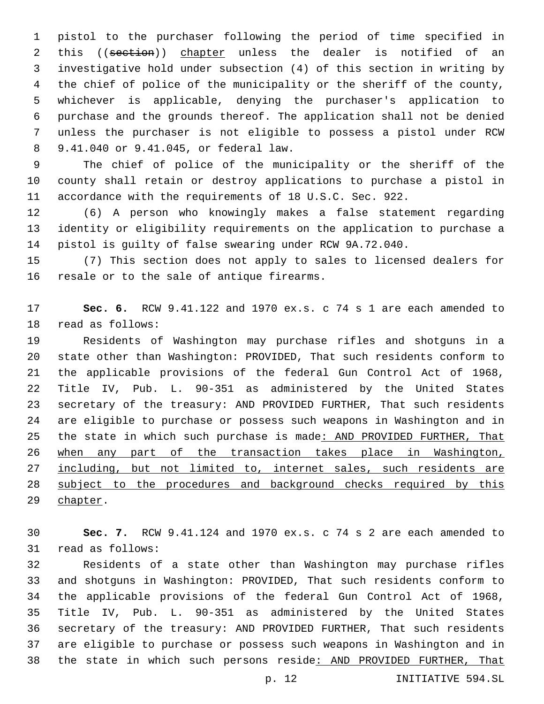pistol to the purchaser following the period of time specified in 2 this ((section)) chapter unless the dealer is notified of an investigative hold under subsection (4) of this section in writing by the chief of police of the municipality or the sheriff of the county, whichever is applicable, denying the purchaser's application to purchase and the grounds thereof. The application shall not be denied unless the purchaser is not eligible to possess a pistol under RCW 9.41.040 or 9.41.045, or federal law.8

 The chief of police of the municipality or the sheriff of the county shall retain or destroy applications to purchase a pistol in accordance with the requirements of 18 U.S.C. Sec. 922.

 (6) A person who knowingly makes a false statement regarding identity or eligibility requirements on the application to purchase a pistol is guilty of false swearing under RCW 9A.72.040.

 (7) This section does not apply to sales to licensed dealers for 16 resale or to the sale of antique firearms.

 **Sec. 6.** RCW 9.41.122 and 1970 ex.s. c 74 s 1 are each amended to 18 read as follows:

 Residents of Washington may purchase rifles and shotguns in a state other than Washington: PROVIDED, That such residents conform to the applicable provisions of the federal Gun Control Act of 1968, Title IV, Pub. L. 90-351 as administered by the United States secretary of the treasury: AND PROVIDED FURTHER, That such residents are eligible to purchase or possess such weapons in Washington and in the state in which such purchase is made: AND PROVIDED FURTHER, That when any part of the transaction takes place in Washington, 27 including, but not limited to, internet sales, such residents are subject to the procedures and background checks required by this 29 chapter.

 **Sec. 7.** RCW 9.41.124 and 1970 ex.s. c 74 s 2 are each amended to 31 read as follows:

 Residents of a state other than Washington may purchase rifles and shotguns in Washington: PROVIDED, That such residents conform to the applicable provisions of the federal Gun Control Act of 1968, Title IV, Pub. L. 90-351 as administered by the United States secretary of the treasury: AND PROVIDED FURTHER, That such residents are eligible to purchase or possess such weapons in Washington and in the state in which such persons reside: AND PROVIDED FURTHER, That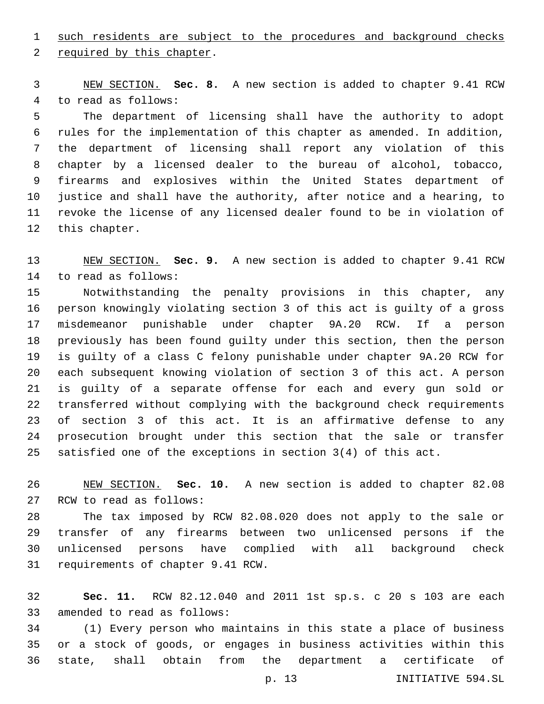such residents are subject to the procedures and background checks

2 required by this chapter.

 NEW SECTION. **Sec. 8.** A new section is added to chapter 9.41 RCW 4 to read as follows:

 The department of licensing shall have the authority to adopt rules for the implementation of this chapter as amended. In addition, the department of licensing shall report any violation of this chapter by a licensed dealer to the bureau of alcohol, tobacco, firearms and explosives within the United States department of justice and shall have the authority, after notice and a hearing, to revoke the license of any licensed dealer found to be in violation of 12 this chapter.

 NEW SECTION. **Sec. 9.** A new section is added to chapter 9.41 RCW 14 to read as follows:

 Notwithstanding the penalty provisions in this chapter, any person knowingly violating section 3 of this act is guilty of a gross misdemeanor punishable under chapter 9A.20 RCW. If a person previously has been found guilty under this section, then the person is guilty of a class C felony punishable under chapter 9A.20 RCW for each subsequent knowing violation of section 3 of this act. A person is guilty of a separate offense for each and every gun sold or transferred without complying with the background check requirements of section 3 of this act. It is an affirmative defense to any prosecution brought under this section that the sale or transfer satisfied one of the exceptions in section 3(4) of this act.

 NEW SECTION. **Sec. 10.** A new section is added to chapter 82.08 27 RCW to read as follows:

 The tax imposed by RCW 82.08.020 does not apply to the sale or transfer of any firearms between two unlicensed persons if the unlicensed persons have complied with all background check 31 requirements of chapter 9.41 RCW.

 **Sec. 11.** RCW 82.12.040 and 2011 1st sp.s. c 20 s 103 are each 33 amended to read as follows:

 (1) Every person who maintains in this state a place of business or a stock of goods, or engages in business activities within this state, shall obtain from the department a certificate of

p. 13 INITIATIVE 594.SL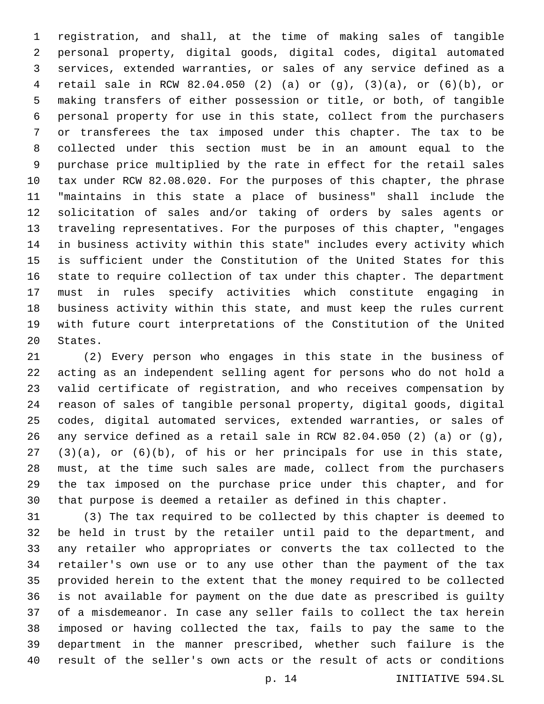registration, and shall, at the time of making sales of tangible personal property, digital goods, digital codes, digital automated services, extended warranties, or sales of any service defined as a retail sale in RCW 82.04.050 (2) (a) or (g), (3)(a), or (6)(b), or making transfers of either possession or title, or both, of tangible personal property for use in this state, collect from the purchasers or transferees the tax imposed under this chapter. The tax to be collected under this section must be in an amount equal to the purchase price multiplied by the rate in effect for the retail sales tax under RCW 82.08.020. For the purposes of this chapter, the phrase "maintains in this state a place of business" shall include the solicitation of sales and/or taking of orders by sales agents or traveling representatives. For the purposes of this chapter, "engages in business activity within this state" includes every activity which is sufficient under the Constitution of the United States for this state to require collection of tax under this chapter. The department must in rules specify activities which constitute engaging in business activity within this state, and must keep the rules current with future court interpretations of the Constitution of the United 20 States.

 (2) Every person who engages in this state in the business of acting as an independent selling agent for persons who do not hold a valid certificate of registration, and who receives compensation by reason of sales of tangible personal property, digital goods, digital codes, digital automated services, extended warranties, or sales of 26 any service defined as a retail sale in RCW 82.04.050 (2) (a) or  $(q)$ , (3)(a), or (6)(b), of his or her principals for use in this state, must, at the time such sales are made, collect from the purchasers the tax imposed on the purchase price under this chapter, and for that purpose is deemed a retailer as defined in this chapter.

 (3) The tax required to be collected by this chapter is deemed to be held in trust by the retailer until paid to the department, and any retailer who appropriates or converts the tax collected to the retailer's own use or to any use other than the payment of the tax provided herein to the extent that the money required to be collected is not available for payment on the due date as prescribed is guilty of a misdemeanor. In case any seller fails to collect the tax herein imposed or having collected the tax, fails to pay the same to the department in the manner prescribed, whether such failure is the result of the seller's own acts or the result of acts or conditions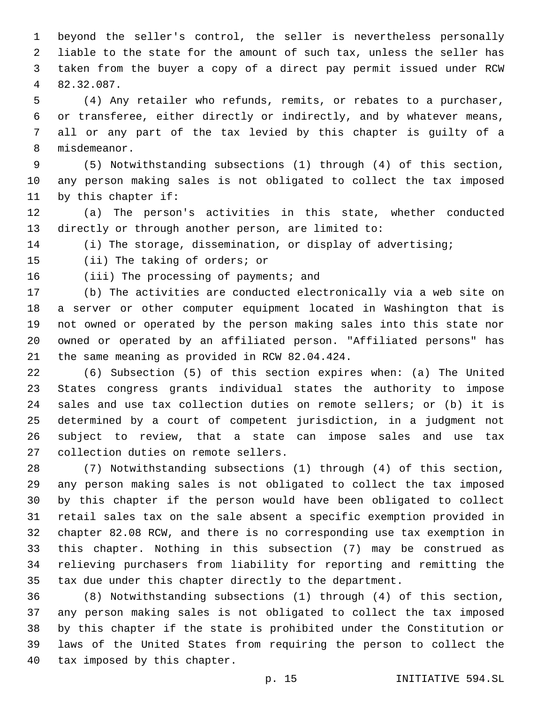beyond the seller's control, the seller is nevertheless personally liable to the state for the amount of such tax, unless the seller has taken from the buyer a copy of a direct pay permit issued under RCW 82.32.087.4

 (4) Any retailer who refunds, remits, or rebates to a purchaser, or transferee, either directly or indirectly, and by whatever means, all or any part of the tax levied by this chapter is guilty of a 8 misdemeanor.

 (5) Notwithstanding subsections (1) through (4) of this section, any person making sales is not obligated to collect the tax imposed 11 by this chapter if:

 (a) The person's activities in this state, whether conducted directly or through another person, are limited to:

(i) The storage, dissemination, or display of advertising;

15 (ii) The taking of orders; or

16 (iii) The processing of payments; and

 (b) The activities are conducted electronically via a web site on a server or other computer equipment located in Washington that is not owned or operated by the person making sales into this state nor owned or operated by an affiliated person. "Affiliated persons" has 21 the same meaning as provided in RCW 82.04.424.

 (6) Subsection (5) of this section expires when: (a) The United States congress grants individual states the authority to impose sales and use tax collection duties on remote sellers; or (b) it is determined by a court of competent jurisdiction, in a judgment not subject to review, that a state can impose sales and use tax 27 collection duties on remote sellers.

 (7) Notwithstanding subsections (1) through (4) of this section, any person making sales is not obligated to collect the tax imposed by this chapter if the person would have been obligated to collect retail sales tax on the sale absent a specific exemption provided in chapter 82.08 RCW, and there is no corresponding use tax exemption in this chapter. Nothing in this subsection (7) may be construed as relieving purchasers from liability for reporting and remitting the tax due under this chapter directly to the department.

 (8) Notwithstanding subsections (1) through (4) of this section, any person making sales is not obligated to collect the tax imposed by this chapter if the state is prohibited under the Constitution or laws of the United States from requiring the person to collect the 40 tax imposed by this chapter.

p. 15 INITIATIVE 594.SL